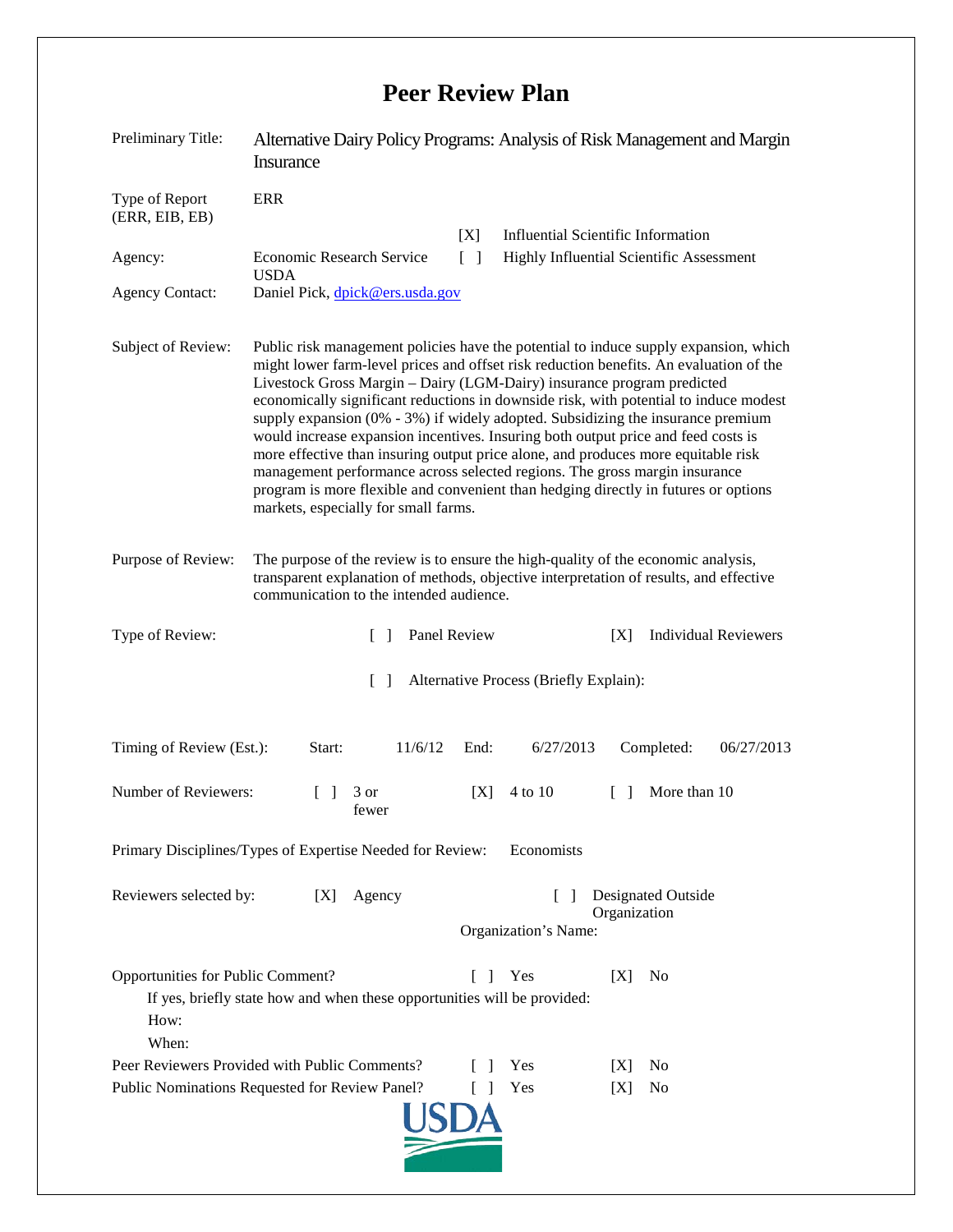## **Peer Review Plan**

| Preliminary Title:                                                                                                                                                      | Alternative Dairy Policy Programs: Analysis of Risk Management and Margin<br><b>Insurance</b>                                                                                                                                                                                                                                                                                                                                                                                                                                                                                                                                                                                                                                                                                                                                   |
|-------------------------------------------------------------------------------------------------------------------------------------------------------------------------|---------------------------------------------------------------------------------------------------------------------------------------------------------------------------------------------------------------------------------------------------------------------------------------------------------------------------------------------------------------------------------------------------------------------------------------------------------------------------------------------------------------------------------------------------------------------------------------------------------------------------------------------------------------------------------------------------------------------------------------------------------------------------------------------------------------------------------|
| Type of Report<br>(ERR, EIB, EB)                                                                                                                                        | <b>ERR</b><br><b>Influential Scientific Information</b>                                                                                                                                                                                                                                                                                                                                                                                                                                                                                                                                                                                                                                                                                                                                                                         |
| Agency:                                                                                                                                                                 | [X]<br><b>Economic Research Service</b><br>Highly Influential Scientific Assessment<br>$\lceil \; \rceil$                                                                                                                                                                                                                                                                                                                                                                                                                                                                                                                                                                                                                                                                                                                       |
| <b>Agency Contact:</b>                                                                                                                                                  | <b>USDA</b><br>Daniel Pick, dpick@ers.usda.gov                                                                                                                                                                                                                                                                                                                                                                                                                                                                                                                                                                                                                                                                                                                                                                                  |
| Subject of Review:                                                                                                                                                      | Public risk management policies have the potential to induce supply expansion, which<br>might lower farm-level prices and offset risk reduction benefits. An evaluation of the<br>Livestock Gross Margin - Dairy (LGM-Dairy) insurance program predicted<br>economically significant reductions in downside risk, with potential to induce modest<br>supply expansion $(0\% - 3\%)$ if widely adopted. Subsidizing the insurance premium<br>would increase expansion incentives. Insuring both output price and feed costs is<br>more effective than insuring output price alone, and produces more equitable risk<br>management performance across selected regions. The gross margin insurance<br>program is more flexible and convenient than hedging directly in futures or options<br>markets, especially for small farms. |
| Purpose of Review:                                                                                                                                                      | The purpose of the review is to ensure the high-quality of the economic analysis,<br>transparent explanation of methods, objective interpretation of results, and effective<br>communication to the intended audience.                                                                                                                                                                                                                                                                                                                                                                                                                                                                                                                                                                                                          |
| Type of Review:                                                                                                                                                         | Panel Review<br><b>Individual Reviewers</b><br>[X]<br>$\Box$                                                                                                                                                                                                                                                                                                                                                                                                                                                                                                                                                                                                                                                                                                                                                                    |
|                                                                                                                                                                         | $\lceil \rceil$<br>Alternative Process (Briefly Explain):                                                                                                                                                                                                                                                                                                                                                                                                                                                                                                                                                                                                                                                                                                                                                                       |
| Timing of Review (Est.):                                                                                                                                                | Start:<br>11/6/12<br>6/27/2013<br>Completed:<br>06/27/2013<br>End:                                                                                                                                                                                                                                                                                                                                                                                                                                                                                                                                                                                                                                                                                                                                                              |
| Number of Reviewers:                                                                                                                                                    | 3 or<br>[X]<br>4 to 10<br>More than 10<br>$\Box$<br>$\mathsf{L}$<br>fewer                                                                                                                                                                                                                                                                                                                                                                                                                                                                                                                                                                                                                                                                                                                                                       |
| Primary Disciplines/Types of Expertise Needed for Review: Economists                                                                                                    |                                                                                                                                                                                                                                                                                                                                                                                                                                                                                                                                                                                                                                                                                                                                                                                                                                 |
| Reviewers selected by:                                                                                                                                                  | <b>Designated Outside</b><br>Agency<br>[X]<br>$\Box$<br>Organization<br>Organization's Name:                                                                                                                                                                                                                                                                                                                                                                                                                                                                                                                                                                                                                                                                                                                                    |
| Opportunities for Public Comment?<br>Yes<br>[X]<br>No<br>L<br>$\mathbf{I}$<br>If yes, briefly state how and when these opportunities will be provided:<br>How:<br>When: |                                                                                                                                                                                                                                                                                                                                                                                                                                                                                                                                                                                                                                                                                                                                                                                                                                 |
|                                                                                                                                                                         | Peer Reviewers Provided with Public Comments?<br>Yes<br>N <sub>0</sub><br>$\Box$<br>IXI                                                                                                                                                                                                                                                                                                                                                                                                                                                                                                                                                                                                                                                                                                                                         |
| Public Nominations Requested for Review Panel?<br>Yes<br>No<br>L<br>[X]                                                                                                 |                                                                                                                                                                                                                                                                                                                                                                                                                                                                                                                                                                                                                                                                                                                                                                                                                                 |